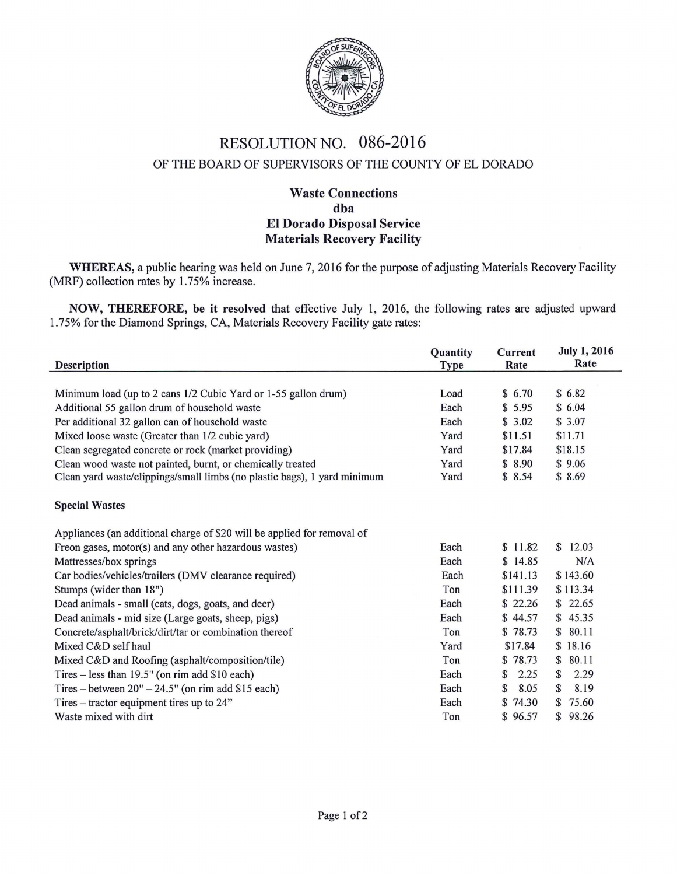

## RESOLUTION NO. 086-2016 OF THE BOARD OF SUPERVISORS OF THE COUNTY OF EL DORADO

## Waste Connections dba El Dorado Disposal Service Materials Recovery Facility

WHEREAS, a public hearing was held on June 7, 2016 for the purpose of adjusting Materials Recovery Facility (MRF) collection rates by 1.75% increase.

NOW, THEREFORE, be it resolved that effective July 1, 2016, the following rates are adjusted upward 1. 75% for the Diamond Springs, CA, Materials Recovery Facility gate rates:

L,

| <b>Description</b>                                                       | Quantity<br><b>Type</b> | <b>Current</b><br>Rate | <b>July 1, 2016</b><br>Rate |
|--------------------------------------------------------------------------|-------------------------|------------------------|-----------------------------|
|                                                                          |                         |                        |                             |
| Minimum load (up to 2 cans 1/2 Cubic Yard or 1-55 gallon drum)           | Load                    | \$6.70                 | \$6.82                      |
| Additional 55 gallon drum of household waste                             | Each                    | \$5.95                 | \$6.04                      |
| Per additional 32 gallon can of household waste                          | Each                    | \$3.02                 | \$3.07                      |
| Mixed loose waste (Greater than 1/2 cubic yard)                          | Yard                    | \$11.51                | \$11.71                     |
| Clean segregated concrete or rock (market providing)                     | Yard                    | \$17.84                | \$18.15                     |
| Clean wood waste not painted, burnt, or chemically treated               | Yard                    | \$8.90                 | \$9.06                      |
| Clean yard waste/clippings/small limbs (no plastic bags), 1 yard minimum | Yard                    | \$8.54                 | \$8.69                      |
| <b>Special Wastes</b>                                                    |                         |                        |                             |
| Appliances (an additional charge of \$20 will be applied for removal of  |                         |                        |                             |
| Freon gases, motor(s) and any other hazardous wastes)                    | Each                    | \$11.82                | \$12.03                     |
| Mattresses/box springs                                                   | Each                    | \$14.85                | N/A                         |
| Car bodies/vehicles/trailers (DMV clearance required)                    | Each                    | \$141.13               | \$143.60                    |
| Stumps (wider than 18")                                                  | Ton                     | \$111.39               | \$113.34                    |
| Dead animals - small (cats, dogs, goats, and deer)                       | Each                    | \$22.26                | \$22.65                     |
| Dead animals - mid size (Large goats, sheep, pigs)                       | Each                    | \$44.57                | \$45.35                     |
| Concrete/asphalt/brick/dirt/tar or combination thereof                   | Ton                     | \$78.73                | 80.11<br>$\mathbb{S}$       |
| Mixed C&D self haul                                                      | Yard                    | \$17.84                | \$18.16                     |
| Mixed C&D and Roofing (asphalt/composition/tile)                         | Ton                     | \$78.73                | 80.11<br>S                  |
| Tires – less than $19.5$ " (on rim add \$10 each)                        | Each                    | 2.25<br>$\mathbb{S}$   | S<br>2.29                   |
| Tires – between $20" - 24.5"$ (on rim add \$15 each)                     | Each                    | S<br>8.05              | 8.19<br>S                   |
| Tires – tractor equipment tires up to 24"                                | Each                    | \$74.30                | 75.60<br>$\mathbb{S}$       |
| Waste mixed with dirt                                                    | Ton                     | \$96.57                | \$98.26                     |